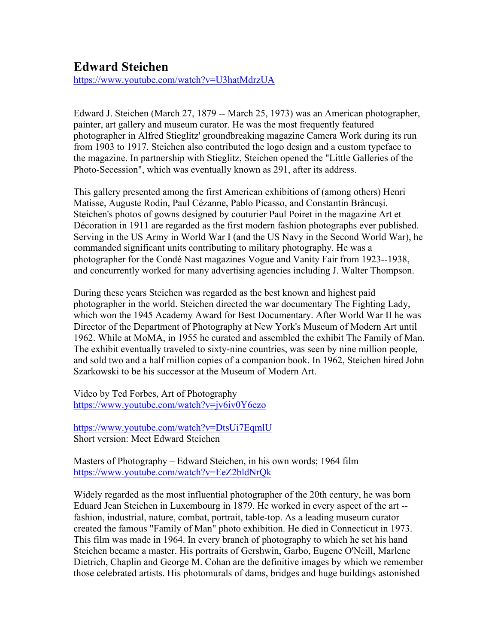## **Edward Steichen**

https://www.youtube.com/watch?v=U3hatMdrzUA

Edward J. Steichen (March 27, 1879 -- March 25, 1973) was an American photographer, painter, art gallery and museum curator. He was the most frequently featured photographer in Alfred Stieglitz' groundbreaking magazine Camera Work during its run from 1903 to 1917. Steichen also contributed the logo design and a custom typeface to the magazine. In partnership with Stieglitz, Steichen opened the "Little Galleries of the Photo-Secession", which was eventually known as 291, after its address.

This gallery presented among the first American exhibitions of (among others) Henri Matisse, Auguste Rodin, Paul Cézanne, Pablo Picasso, and Constantin Brâncuşi. Steichen's photos of gowns designed by couturier Paul Poiret in the magazine Art et Décoration in 1911 are regarded as the first modern fashion photographs ever published. Serving in the US Army in World War I (and the US Navy in the Second World War), he commanded significant units contributing to military photography. He was a photographer for the Condé Nast magazines Vogue and Vanity Fair from 1923--1938, and concurrently worked for many advertising agencies including J. Walter Thompson.

During these years Steichen was regarded as the best known and highest paid photographer in the world. Steichen directed the war documentary The Fighting Lady, which won the 1945 Academy Award for Best Documentary. After World War II he was Director of the Department of Photography at New York's Museum of Modern Art until 1962. While at MoMA, in 1955 he curated and assembled the exhibit The Family of Man. The exhibit eventually traveled to sixty-nine countries, was seen by nine million people, and sold two and a half million copies of a companion book. In 1962, Steichen hired John Szarkowski to be his successor at the Museum of Modern Art.

Video by Ted Forbes, Art of Photography https://www.youtube.com/watch?v=jv6iv0Y6ezo

https://www.youtube.com/watch?v=DtsUi7EqmlU Short version: Meet Edward Steichen

Masters of Photography – Edward Steichen, in his own words; 1964 film https://www.youtube.com/watch?v=EeZ2bldNrQk

Widely regarded as the most influential photographer of the 20th century, he was born Eduard Jean Steichen in Luxembourg in 1879. He worked in every aspect of the art - fashion, industrial, nature, combat, portrait, table-top. As a leading museum curator created the famous "Family of Man" photo exhibition. He died in Connecticut in 1973. This film was made in 1964. In every branch of photography to which he set his hand Steichen became a master. His portraits of Gershwin, Garbo, Eugene O'Neill, Marlene Dietrich, Chaplin and George M. Cohan are the definitive images by which we remember those celebrated artists. His photomurals of dams, bridges and huge buildings astonished